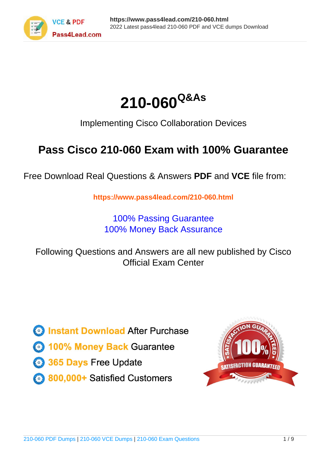



Implementing Cisco Collaboration Devices

# **Pass Cisco 210-060 Exam with 100% Guarantee**

Free Download Real Questions & Answers **PDF** and **VCE** file from:

**https://www.pass4lead.com/210-060.html**

100% Passing Guarantee 100% Money Back Assurance

Following Questions and Answers are all new published by Cisco Official Exam Center

**C** Instant Download After Purchase

**83 100% Money Back Guarantee** 

- 365 Days Free Update
- 800,000+ Satisfied Customers

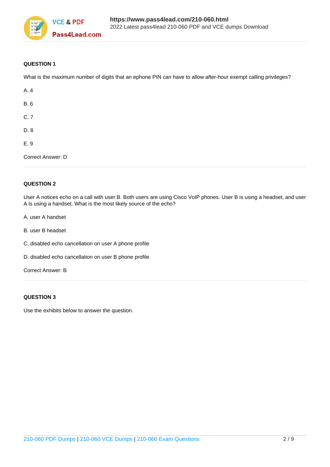

#### **QUESTION 1**

What is the maximum number of digits that an ephone PIN can have to allow after-hour exempt calling privileges?

| A. 4              |  |  |
|-------------------|--|--|
| <b>B.</b> 6       |  |  |
| C.7               |  |  |
| D. 8              |  |  |
| E.9               |  |  |
| Correct Answer: D |  |  |

#### **QUESTION 2**

User A notices echo on a call with user B. Both users are using Cisco VoIP phones. User B is using a headset, and user A is using a handset. What is the most likely source of the echo?

- A. user A handset
- B. user B headset
- C. disabled echo cancellation on user A phone profile
- D. disabled echo cancellation on user B phone profile

Correct Answer: B

#### **QUESTION 3**

Use the exhibits below to answer the question.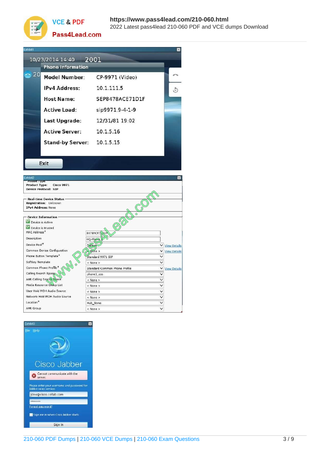#### **https://www.pass4lead.com/210-060.html VCE & PDF** 2022 Latest pass4lead 210-060 PDF and VCE dumps Download



Pass4Lead.com

| 10/23/2014 14:40                                                                       | 2001                              |                                                    |
|----------------------------------------------------------------------------------------|-----------------------------------|----------------------------------------------------|
| <b>Phone Information</b>                                                               |                                   |                                                    |
| 20<br>Model Number:                                                                    | CP-9971 (Video)                   |                                                    |
| <b>IPv4 Address:</b>                                                                   | 10 1 1 1 1 5                      |                                                    |
| <b>Host Name:</b>                                                                      | SEP8478ACE71D1F                   |                                                    |
| <b>Active Load:</b>                                                                    | sip9971.9-4-1-9                   |                                                    |
| Last Upgrade:                                                                          | 12/31/81 19:02                    |                                                    |
| <b>Active Server:</b>                                                                  | 10.1.5.16                         |                                                    |
| <b>Stand-by Server:</b>                                                                | 10.1.5.15                         |                                                    |
| Exit                                                                                   |                                   |                                                    |
| Phone Type<br><b>Product Type:</b><br><b>Cisco 9971</b><br><b>Device Protocol: SIP</b> |                                   |                                                    |
| <b>Real-time Device Status</b><br>Registration: Unknown                                |                                   |                                                    |
| IPv4 Address: None                                                                     | $\mathcal{C}'$                    |                                                    |
| - Device Information -<br>Device is Active                                             |                                   |                                                    |
| Device is trusted<br>MAC Address*                                                      | BRA<br>8478ACF71.01F              |                                                    |
| Description                                                                            | HQ-Phone                          |                                                    |
| Device Pool <sup>®</sup>                                                               | <b>Default</b>                    | V View Details                                     |
| Common Device Configuration<br>Phone Button Template*                                  | $\triangle$ None >                | $\checkmark$<br><b>View Details</b><br>$\check{ }$ |
| Softkey Template                                                                       | Standard 9971 SIP<br>$<$ None $>$ | $\checkmark$                                       |
| Common Phone Profile*                                                                  | Standard Common Phone Profile     | $\check{ }$<br><b>View Details</b>                 |
| Calling Search Space                                                                   | phone1_css                        | ◡                                                  |
| <b>AAR Calling Search Space</b>                                                        | < None >                          | ◡                                                  |
| <b>Media Resource Group List</b>                                                       | < None >                          | ▽                                                  |
| User Hold MOH Audio Source                                                             | $<$ None $>$                      | $\overline{\mathsf{v}}$                            |
| Network Hold MOH Audio Source<br>Location <sup>*</sup>                                 | < None ><br>Hub_None              | $\overline{\mathsf{v}}$                            |

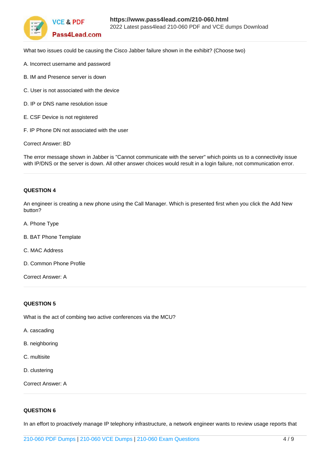

What two issues could be causing the Cisco Jabber failure shown in the exhibit? (Choose two)

- A. Incorrect username and password
- B. IM and Presence server is down
- C. User is not associated with the device
- D. IP or DNS name resolution issue
- E. CSF Device is not registered
- F. IP Phone DN not associated with the user

Correct Answer: BD

The error message shown in Jabber is "Cannot communicate with the server" which points us to a connectivity issue with IP/DNS or the server is down. All other answer choices would result in a login failure, not communication error.

#### **QUESTION 4**

An engineer is creating a new phone using the Call Manager. Which is presented first when you click the Add New button?

A. Phone Type

B. BAT Phone Template

C. MAC Address

D. Common Phone Profile

Correct Answer: A

#### **QUESTION 5**

What is the act of combing two active conferences via the MCU?

- A. cascading
- B. neighboring
- C. multisite
- D. clustering

Correct Answer: A

### **QUESTION 6**

In an effort to proactively manage IP telephony infrastructure, a network engineer wants to review usage reports that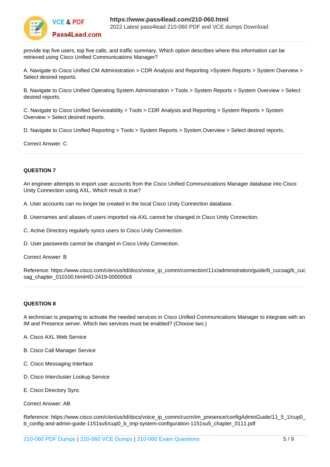

provide top five users, top five calls, and traffic summary. Which option describes where this information can be retrieved using Cisco Unified Communications Manager?

A. Navigate to Cisco Unified CM Administration > CDR Analysis and Reporting >System Reports > System Overview > Select desired reports.

B. Navigate to Cisco Unified Operating System Administration > Tools > System Reports > System Overview > Select desired reports.

C. Navigate to Cisco Unified Serviceability > Tools > CDR Analysis and Reporting > System Reports > System Overview > Select desired reports.

D. Navigate to Cisco Unified Reporting > Tools > System Reports > System Overview > Select desired reports.

Correct Answer: C

#### **QUESTION 7**

An engineer attempts to import user accounts from the Cisco Unified Communications Manager database into Cisco Unity Connection using AXL. Which result is true?

A. User accounts can no longer be created in the local Cisco Unity Connection database.

B. Usernames and aliases of users imported via AXL cannot be changed in Cisco Unity Connection.

C. Active Directory regularly syncs users to Cisco Unity Connection.

D. User passwords cannot be changed in Cisco Unity Connection.

Correct Answer: B

Reference: https://www.cisco.com/c/en/us/td/docs/voice\_ip\_comm/connection/11x/administration/guide/b\_cucsag/b\_cuc sag\_chapter\_010100.html#ID-2419-000000c6

#### **QUESTION 8**

A technician is preparing to activate the needed services in Cisco Unified Communications Manager to integrate with an IM and Presence server. Which two services must be enabled? (Choose two.)

- A. Cisco AXL Web Service
- B. Cisco Call Manager Service
- C. Cisco Messaging Interface
- D. Cisco Intercluster Lookup Service
- E. Cisco Directory Sync

Correct Answer: AB

Reference: https://www.cisco.com/c/en/us/td/docs/voice\_ip\_comm/cucm/im\_presence/configAdminGuide/11\_5\_1/cup0\_ b\_config-and-admin-guide-1151su5/cup0\_b\_imp-system-configuration-1151su5\_chapter\_0111.pdf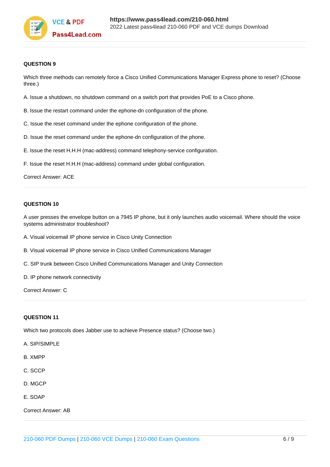

#### **QUESTION 9**

Which three methods can remotely force a Cisco Unified Communications Manager Express phone to reset? (Choose three.)

- A. Issue a shutdown, no shutdown command on a switch port that provides PoE to a Cisco phone.
- B. Issue the restart command under the ephone-dn configuration of the phone.
- C. Issue the reset command under the ephone configuration of the phone.
- D. Issue the reset command under the ephone-dn configuration of the phone.
- E. Issue the reset H.H.H (mac-address) command telephony-service configuration.
- F. Issue the reset H.H.H (mac-address) command under global configuration.

#### Correct Answer: ACE

#### **QUESTION 10**

A user presses the envelope button on a 7945 IP phone, but it only launches audio voicemail. Where should the voice systems administrator troubleshoot?

- A. Visual voicemail IP phone service in Cisco Unity Connection
- B. Visual voicemail IP phone service in Cisco Unified Communications Manager
- C. SIP trunk between Cisco Unified Communications Manager and Unity Connection
- D. IP phone network connectivity

Correct Answer: C

#### **QUESTION 11**

Which two protocols does Jabber use to achieve Presence status? (Choose two.)

- A. SIP/SIMPLE
- B. XMPP
- C. SCCP
- D. MGCP
- E. SOAP

Correct Answer: AB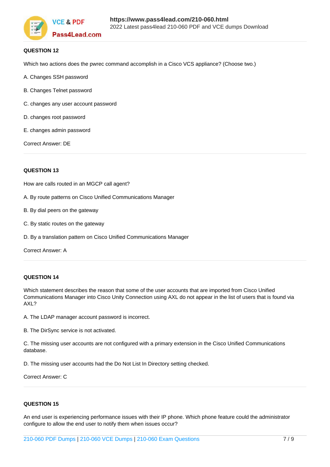

#### **QUESTION 12**

Which two actions does the pwrec command accomplish in a Cisco VCS appliance? (Choose two.)

- A. Changes SSH password
- B. Changes Telnet password
- C. changes any user account password
- D. changes root password
- E. changes admin password

Correct Answer: DE

#### **QUESTION 13**

How are calls routed in an MGCP call agent?

A. By route patterns on Cisco Unified Communications Manager

- B. By dial peers on the gateway
- C. By static routes on the gateway
- D. By a translation pattern on Cisco Unified Communications Manager

Correct Answer: A

#### **QUESTION 14**

Which statement describes the reason that some of the user accounts that are imported from Cisco Unified Communications Manager into Cisco Unity Connection using AXL do not appear in the list of users that is found via AXL?

A. The LDAP manager account password is incorrect.

B. The DirSync service is not activated.

C. The missing user accounts are not configured with a primary extension in the Cisco Unified Communications database.

D. The missing user accounts had the Do Not List In Directory setting checked.

Correct Answer: C

#### **QUESTION 15**

An end user is experiencing performance issues with their IP phone. Which phone feature could the administrator configure to allow the end user to notify them when issues occur?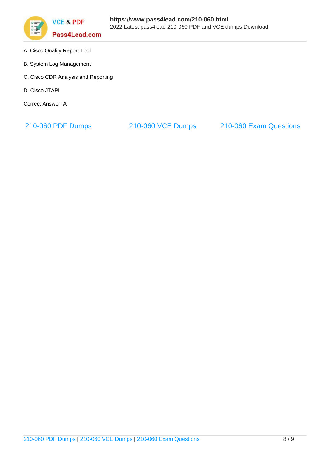

- A. Cisco Quality Report Tool
- B. System Log Management
- C. Cisco CDR Analysis and Reporting
- D. Cisco JTAPI

Correct Answer: A

[210-060 PDF Dumps](https://www.pass4lead.com/210-060.html) [210-060 VCE Dumps](https://www.pass4lead.com/210-060.html) [210-060 Exam Questions](https://www.pass4lead.com/210-060.html)